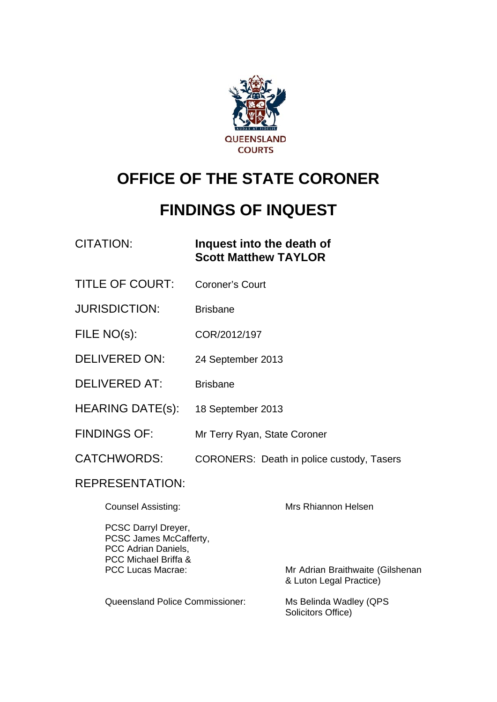

# **OFFICE OF THE STATE CORONER**

# **FINDINGS OF INQUEST**

### CITATION: **Inquest into the death of Scott Matthew TAYLOR**

- TITLE OF COURT: Coroner's Court
- JURISDICTION: Brisbane
- FILE NO(s): COR/2012/197
- DELIVERED ON: 24 September 2013
- DELIVERED AT: Brisbane
- HEARING DATE(s): 18 September 2013
- FINDINGS OF: Mr Terry Ryan, State Coroner
- CATCHWORDS: CORONERS: Death in police custody, Tasers

#### REPRESENTATION:

| <b>Counsel Assisting:</b>                                                                    | Mrs Rhiannon Helsen                                         |
|----------------------------------------------------------------------------------------------|-------------------------------------------------------------|
| PCSC Darryl Dreyer,<br>PCSC James McCafferty,<br>PCC Adrian Daniels,<br>PCC Michael Briffa & |                                                             |
| PCC Lucas Macrae:                                                                            | Mr Adrian Braithwaite (Gilshenan<br>& Luton Legal Practice) |
| Queensland Police Commissioner:                                                              | Ms Belinda Wadley (QPS<br>Solicitors Office)                |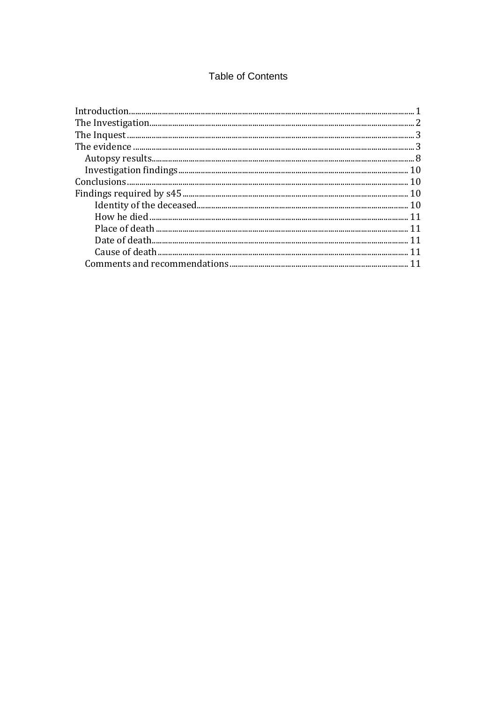#### **Table of Contents**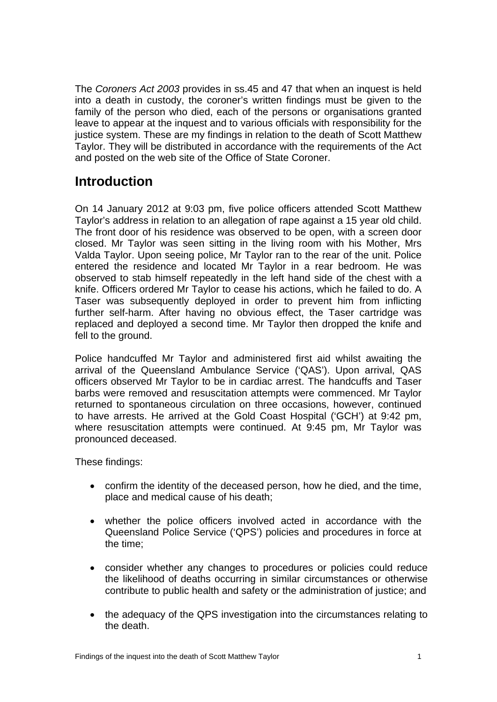The *Coroners Act 2003* provides in ss.45 and 47 that when an inquest is held into a death in custody, the coroner's written findings must be given to the family of the person who died, each of the persons or organisations granted leave to appear at the inquest and to various officials with responsibility for the justice system. These are my findings in relation to the death of Scott Matthew Taylor. They will be distributed in accordance with the requirements of the Act and posted on the web site of the Office of State Coroner.

# <span id="page-2-0"></span>**Introduction**

On 14 January 2012 at 9:03 pm, five police officers attended Scott Matthew Taylor's address in relation to an allegation of rape against a 15 year old child. The front door of his residence was observed to be open, with a screen door closed. Mr Taylor was seen sitting in the living room with his Mother, Mrs Valda Taylor. Upon seeing police, Mr Taylor ran to the rear of the unit. Police entered the residence and located Mr Taylor in a rear bedroom. He was observed to stab himself repeatedly in the left hand side of the chest with a knife. Officers ordered Mr Taylor to cease his actions, which he failed to do. A Taser was subsequently deployed in order to prevent him from inflicting further self-harm. After having no obvious effect, the Taser cartridge was replaced and deployed a second time. Mr Taylor then dropped the knife and fell to the ground.

Police handcuffed Mr Taylor and administered first aid whilst awaiting the arrival of the Queensland Ambulance Service ('QAS'). Upon arrival, QAS officers observed Mr Taylor to be in cardiac arrest. The handcuffs and Taser barbs were removed and resuscitation attempts were commenced. Mr Taylor returned to spontaneous circulation on three occasions, however, continued to have arrests. He arrived at the Gold Coast Hospital ('GCH') at 9:42 pm, where resuscitation attempts were continued. At 9:45 pm, Mr Taylor was pronounced deceased.

These findings:

- confirm the identity of the deceased person, how he died, and the time, place and medical cause of his death;
- whether the police officers involved acted in accordance with the Queensland Police Service ('QPS') policies and procedures in force at the time;
- consider whether any changes to procedures or policies could reduce the likelihood of deaths occurring in similar circumstances or otherwise contribute to public health and safety or the administration of justice; and
- the adequacy of the QPS investigation into the circumstances relating to the death.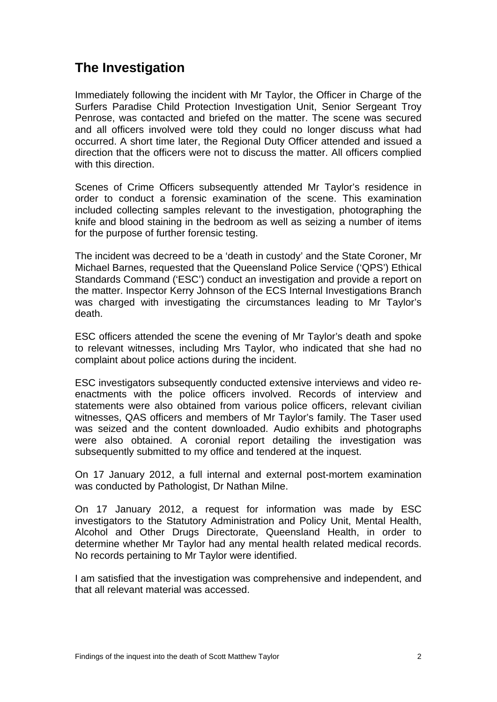# **The Investigation**

Immediately following the incident with Mr Taylor, the Officer in Charge of the Surfers Paradise Child Protection Investigation Unit, Senior Sergeant Troy Penrose, was contacted and briefed on the matter. The scene was secured and all officers involved were told they could no longer discuss what had occurred. A short time later, the Regional Duty Officer attended and issued a direction that the officers were not to discuss the matter. All officers complied with this direction.

Scenes of Crime Officers subsequently attended Mr Taylor's residence in order to conduct a forensic examination of the scene. This examination included collecting samples relevant to the investigation, photographing the knife and blood staining in the bedroom as well as seizing a number of items for the purpose of further forensic testing.

The incident was decreed to be a 'death in custody' and the State Coroner, Mr Michael Barnes, requested that the Queensland Police Service ('QPS') Ethical Standards Command ('ESC') conduct an investigation and provide a report on the matter. Inspector Kerry Johnson of the ECS Internal Investigations Branch was charged with investigating the circumstances leading to Mr Taylor's death.

ESC officers attended the scene the evening of Mr Taylor's death and spoke to relevant witnesses, including Mrs Taylor, who indicated that she had no complaint about police actions during the incident.

ESC investigators subsequently conducted extensive interviews and video reenactments with the police officers involved. Records of interview and statements were also obtained from various police officers, relevant civilian witnesses, QAS officers and members of Mr Taylor's family. The Taser used was seized and the content downloaded. Audio exhibits and photographs were also obtained. A coronial report detailing the investigation was subsequently submitted to my office and tendered at the inquest.

On 17 January 2012, a full internal and external post-mortem examination was conducted by Pathologist, Dr Nathan Milne.

On 17 January 2012, a request for information was made by ESC investigators to the Statutory Administration and Policy Unit, Mental Health, Alcohol and Other Drugs Directorate, Queensland Health, in order to determine whether Mr Taylor had any mental health related medical records. No records pertaining to Mr Taylor were identified.

I am satisfied that the investigation was comprehensive and independent, and that all relevant material was accessed.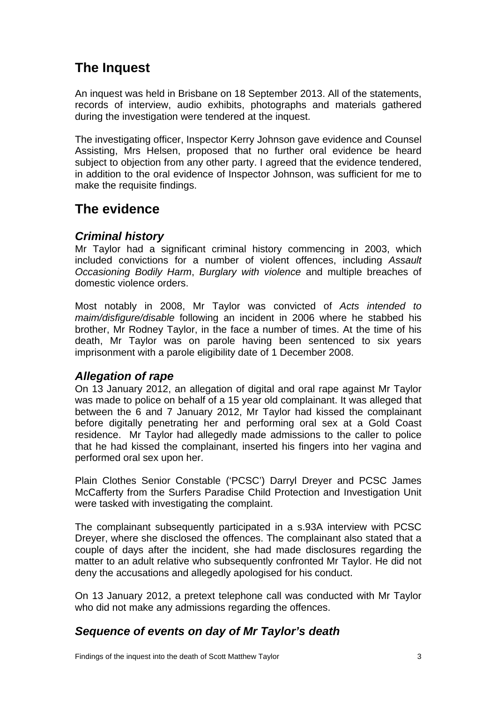# <span id="page-4-0"></span>**The Inquest**

An inquest was held in Brisbane on 18 September 2013. All of the statements, records of interview, audio exhibits, photographs and materials gathered during the investigation were tendered at the inquest.

The investigating officer, Inspector Kerry Johnson gave evidence and Counsel Assisting, Mrs Helsen, proposed that no further oral evidence be heard subject to objection from any other party. I agreed that the evidence tendered, in addition to the oral evidence of Inspector Johnson, was sufficient for me to make the requisite findings.

# <span id="page-4-1"></span>**The evidence**

#### *Criminal history*

Mr Taylor had a significant criminal history commencing in 2003, which included convictions for a number of violent offences, including *Assault Occasioning Bodily Harm*, *Burglary with violence* and multiple breaches of domestic violence orders.

Most notably in 2008, Mr Taylor was convicted of *Acts intended to maim/disfigure/disable* following an incident in 2006 where he stabbed his brother, Mr Rodney Taylor, in the face a number of times. At the time of his death, Mr Taylor was on parole having been sentenced to six years imprisonment with a parole eligibility date of 1 December 2008.

### *Allegation of rape*

On 13 January 2012, an allegation of digital and oral rape against Mr Taylor was made to police on behalf of a 15 year old complainant. It was alleged that between the 6 and 7 January 2012, Mr Taylor had kissed the complainant before digitally penetrating her and performing oral sex at a Gold Coast residence. Mr Taylor had allegedly made admissions to the caller to police that he had kissed the complainant, inserted his fingers into her vagina and performed oral sex upon her.

Plain Clothes Senior Constable ('PCSC') Darryl Dreyer and PCSC James McCafferty from the Surfers Paradise Child Protection and Investigation Unit were tasked with investigating the complaint.

The complainant subsequently participated in a s.93A interview with PCSC Dreyer, where she disclosed the offences. The complainant also stated that a couple of days after the incident, she had made disclosures regarding the matter to an adult relative who subsequently confronted Mr Taylor. He did not deny the accusations and allegedly apologised for his conduct.

On 13 January 2012, a pretext telephone call was conducted with Mr Taylor who did not make any admissions regarding the offences.

### *Sequence of events on day of Mr Taylor's death*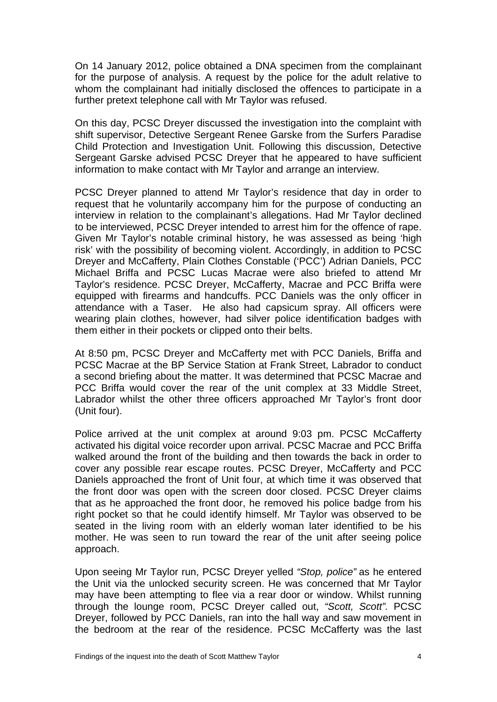On 14 January 2012, police obtained a DNA specimen from the complainant for the purpose of analysis. A request by the police for the adult relative to whom the complainant had initially disclosed the offences to participate in a further pretext telephone call with Mr Taylor was refused.

On this day, PCSC Dreyer discussed the investigation into the complaint with shift supervisor, Detective Sergeant Renee Garske from the Surfers Paradise Child Protection and Investigation Unit. Following this discussion, Detective Sergeant Garske advised PCSC Dreyer that he appeared to have sufficient information to make contact with Mr Taylor and arrange an interview.

PCSC Dreyer planned to attend Mr Taylor's residence that day in order to request that he voluntarily accompany him for the purpose of conducting an interview in relation to the complainant's allegations. Had Mr Taylor declined to be interviewed, PCSC Dreyer intended to arrest him for the offence of rape. Given Mr Taylor's notable criminal history, he was assessed as being 'high risk' with the possibility of becoming violent. Accordingly, in addition to PCSC Dreyer and McCafferty, Plain Clothes Constable ('PCC') Adrian Daniels, PCC Michael Briffa and PCSC Lucas Macrae were also briefed to attend Mr Taylor's residence. PCSC Dreyer, McCafferty, Macrae and PCC Briffa were equipped with firearms and handcuffs. PCC Daniels was the only officer in attendance with a Taser. He also had capsicum spray. All officers were wearing plain clothes, however, had silver police identification badges with them either in their pockets or clipped onto their belts.

At 8:50 pm, PCSC Dreyer and McCafferty met with PCC Daniels, Briffa and PCSC Macrae at the BP Service Station at Frank Street, Labrador to conduct a second briefing about the matter. It was determined that PCSC Macrae and PCC Briffa would cover the rear of the unit complex at 33 Middle Street, Labrador whilst the other three officers approached Mr Taylor's front door (Unit four).

Police arrived at the unit complex at around 9:03 pm. PCSC McCafferty activated his digital voice recorder upon arrival. PCSC Macrae and PCC Briffa walked around the front of the building and then towards the back in order to cover any possible rear escape routes. PCSC Dreyer, McCafferty and PCC Daniels approached the front of Unit four, at which time it was observed that the front door was open with the screen door closed. PCSC Dreyer claims that as he approached the front door, he removed his police badge from his right pocket so that he could identify himself. Mr Taylor was observed to be seated in the living room with an elderly woman later identified to be his mother. He was seen to run toward the rear of the unit after seeing police approach.

Upon seeing Mr Taylor run, PCSC Dreyer yelled *"Stop, police"* as he entered the Unit via the unlocked security screen. He was concerned that Mr Taylor may have been attempting to flee via a rear door or window. Whilst running through the lounge room, PCSC Dreyer called out, *"Scott, Scott".* PCSC Dreyer, followed by PCC Daniels, ran into the hall way and saw movement in the bedroom at the rear of the residence. PCSC McCafferty was the last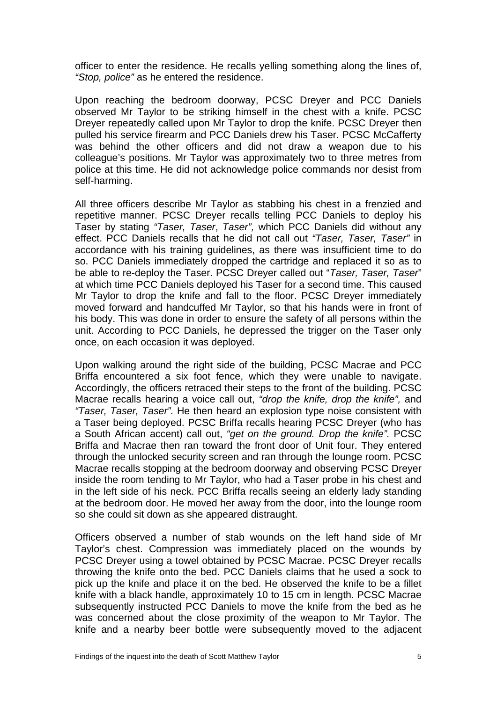officer to enter the residence. He recalls yelling something along the lines of, *"Stop, police"* as he entered the residence.

Upon reaching the bedroom doorway, PCSC Dreyer and PCC Daniels observed Mr Taylor to be striking himself in the chest with a knife. PCSC Dreyer repeatedly called upon Mr Taylor to drop the knife. PCSC Dreyer then pulled his service firearm and PCC Daniels drew his Taser. PCSC McCafferty was behind the other officers and did not draw a weapon due to his colleague's positions. Mr Taylor was approximately two to three metres from police at this time. He did not acknowledge police commands nor desist from self-harming.

All three officers describe Mr Taylor as stabbing his chest in a frenzied and repetitive manner. PCSC Dreyer recalls telling PCC Daniels to deploy his Taser by stating *"Taser, Taser*, *Taser",* which PCC Daniels did without any effect. PCC Daniels recalls that he did not call out *"Taser, Taser, Taser"* in accordance with his training guidelines, as there was insufficient time to do so. PCC Daniels immediately dropped the cartridge and replaced it so as to be able to re-deploy the Taser. PCSC Dreyer called out "*Taser, Taser, Taser*" at which time PCC Daniels deployed his Taser for a second time. This caused Mr Taylor to drop the knife and fall to the floor. PCSC Dreyer immediately moved forward and handcuffed Mr Taylor, so that his hands were in front of his body. This was done in order to ensure the safety of all persons within the unit. According to PCC Daniels, he depressed the trigger on the Taser only once, on each occasion it was deployed.

Upon walking around the right side of the building, PCSC Macrae and PCC Briffa encountered a six foot fence, which they were unable to navigate. Accordingly, the officers retraced their steps to the front of the building. PCSC Macrae recalls hearing a voice call out, *"drop the knife, drop the knife",* and *"Taser, Taser, Taser".* He then heard an explosion type noise consistent with a Taser being deployed. PCSC Briffa recalls hearing PCSC Dreyer (who has a South African accent) call out, *"get on the ground. Drop the knife".* PCSC Briffa and Macrae then ran toward the front door of Unit four. They entered through the unlocked security screen and ran through the lounge room. PCSC Macrae recalls stopping at the bedroom doorway and observing PCSC Dreyer inside the room tending to Mr Taylor, who had a Taser probe in his chest and in the left side of his neck. PCC Briffa recalls seeing an elderly lady standing at the bedroom door. He moved her away from the door, into the lounge room so she could sit down as she appeared distraught.

Officers observed a number of stab wounds on the left hand side of Mr Taylor's chest. Compression was immediately placed on the wounds by PCSC Dreyer using a towel obtained by PCSC Macrae. PCSC Dreyer recalls throwing the knife onto the bed. PCC Daniels claims that he used a sock to pick up the knife and place it on the bed. He observed the knife to be a fillet knife with a black handle, approximately 10 to 15 cm in length. PCSC Macrae subsequently instructed PCC Daniels to move the knife from the bed as he was concerned about the close proximity of the weapon to Mr Taylor. The knife and a nearby beer bottle were subsequently moved to the adjacent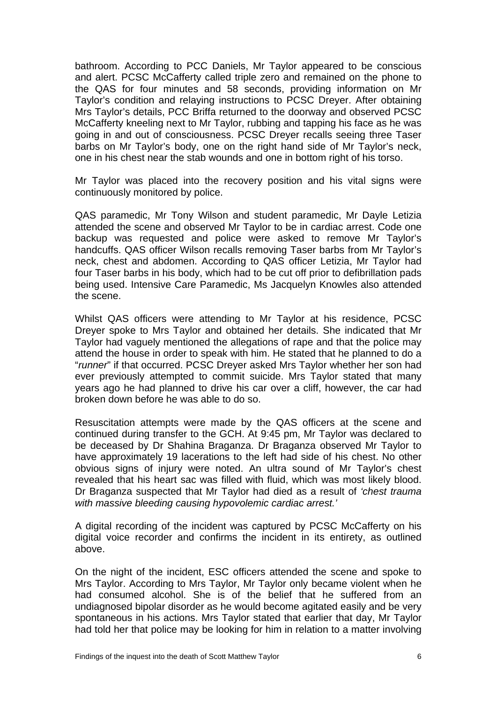bathroom. According to PCC Daniels, Mr Taylor appeared to be conscious and alert. PCSC McCafferty called triple zero and remained on the phone to the QAS for four minutes and 58 seconds, providing information on Mr Taylor's condition and relaying instructions to PCSC Dreyer. After obtaining Mrs Taylor's details, PCC Briffa returned to the doorway and observed PCSC McCafferty kneeling next to Mr Taylor, rubbing and tapping his face as he was going in and out of consciousness. PCSC Dreyer recalls seeing three Taser barbs on Mr Taylor's body, one on the right hand side of Mr Taylor's neck, one in his chest near the stab wounds and one in bottom right of his torso.

Mr Taylor was placed into the recovery position and his vital signs were continuously monitored by police.

QAS paramedic, Mr Tony Wilson and student paramedic, Mr Dayle Letizia attended the scene and observed Mr Taylor to be in cardiac arrest. Code one backup was requested and police were asked to remove Mr Taylor's handcuffs. QAS officer Wilson recalls removing Taser barbs from Mr Taylor's neck, chest and abdomen. According to QAS officer Letizia, Mr Taylor had four Taser barbs in his body, which had to be cut off prior to defibrillation pads being used. Intensive Care Paramedic, Ms Jacquelyn Knowles also attended the scene.

Whilst QAS officers were attending to Mr Taylor at his residence, PCSC Dreyer spoke to Mrs Taylor and obtained her details. She indicated that Mr Taylor had vaguely mentioned the allegations of rape and that the police may attend the house in order to speak with him. He stated that he planned to do a "*runner*" if that occurred. PCSC Dreyer asked Mrs Taylor whether her son had ever previously attempted to commit suicide. Mrs Taylor stated that many years ago he had planned to drive his car over a cliff, however, the car had broken down before he was able to do so.

Resuscitation attempts were made by the QAS officers at the scene and continued during transfer to the GCH. At 9:45 pm, Mr Taylor was declared to be deceased by Dr Shahina Braganza. Dr Braganza observed Mr Taylor to have approximately 19 lacerations to the left had side of his chest. No other obvious signs of injury were noted. An ultra sound of Mr Taylor's chest revealed that his heart sac was filled with fluid, which was most likely blood. Dr Braganza suspected that Mr Taylor had died as a result of *'chest trauma with massive bleeding causing hypovolemic cardiac arrest.'* 

A digital recording of the incident was captured by PCSC McCafferty on his digital voice recorder and confirms the incident in its entirety, as outlined above.

On the night of the incident, ESC officers attended the scene and spoke to Mrs Taylor. According to Mrs Taylor, Mr Taylor only became violent when he had consumed alcohol. She is of the belief that he suffered from an undiagnosed bipolar disorder as he would become agitated easily and be very spontaneous in his actions. Mrs Taylor stated that earlier that day, Mr Taylor had told her that police may be looking for him in relation to a matter involving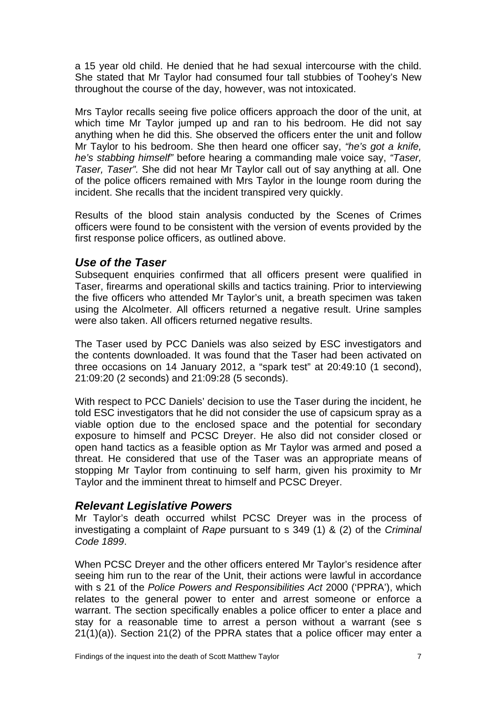a 15 year old child. He denied that he had sexual intercourse with the child. She stated that Mr Taylor had consumed four tall stubbies of Toohey's New throughout the course of the day, however, was not intoxicated.

Mrs Taylor recalls seeing five police officers approach the door of the unit, at which time Mr Taylor jumped up and ran to his bedroom. He did not say anything when he did this. She observed the officers enter the unit and follow Mr Taylor to his bedroom. She then heard one officer say, *"he's got a knife, he's stabbing himself"* before hearing a commanding male voice say, *"Taser, Taser, Taser".* She did not hear Mr Taylor call out of say anything at all. One of the police officers remained with Mrs Taylor in the lounge room during the incident. She recalls that the incident transpired very quickly.

Results of the blood stain analysis conducted by the Scenes of Crimes officers were found to be consistent with the version of events provided by the first response police officers, as outlined above.

#### *Use of the Taser*

Subsequent enquiries confirmed that all officers present were qualified in Taser, firearms and operational skills and tactics training. Prior to interviewing the five officers who attended Mr Taylor's unit, a breath specimen was taken using the Alcolmeter. All officers returned a negative result. Urine samples were also taken. All officers returned negative results.

The Taser used by PCC Daniels was also seized by ESC investigators and the contents downloaded. It was found that the Taser had been activated on three occasions on 14 January 2012, a "spark test" at 20:49:10 (1 second), 21:09:20 (2 seconds) and 21:09:28 (5 seconds).

With respect to PCC Daniels' decision to use the Taser during the incident, he told ESC investigators that he did not consider the use of capsicum spray as a viable option due to the enclosed space and the potential for secondary exposure to himself and PCSC Dreyer. He also did not consider closed or open hand tactics as a feasible option as Mr Taylor was armed and posed a threat. He considered that use of the Taser was an appropriate means of stopping Mr Taylor from continuing to self harm, given his proximity to Mr Taylor and the imminent threat to himself and PCSC Dreyer.

#### *Relevant Legislative Powers*

Mr Taylor's death occurred whilst PCSC Dreyer was in the process of investigating a complaint of *Rape* pursuant to s 349 (1) & (2) of the *Criminal Code 1899*.

When PCSC Dreyer and the other officers entered Mr Taylor's residence after seeing him run to the rear of the Unit, their actions were lawful in accordance with s 21 of the *Police Powers and Responsibilities Act* 2000 ('PPRA'), which relates to the general power to enter and arrest someone or enforce a warrant. The section specifically enables a police officer to enter a place and stay for a reasonable time to arrest a person without a warrant (see s 21(1)(a)). Section 21(2) of the PPRA states that a police officer may enter a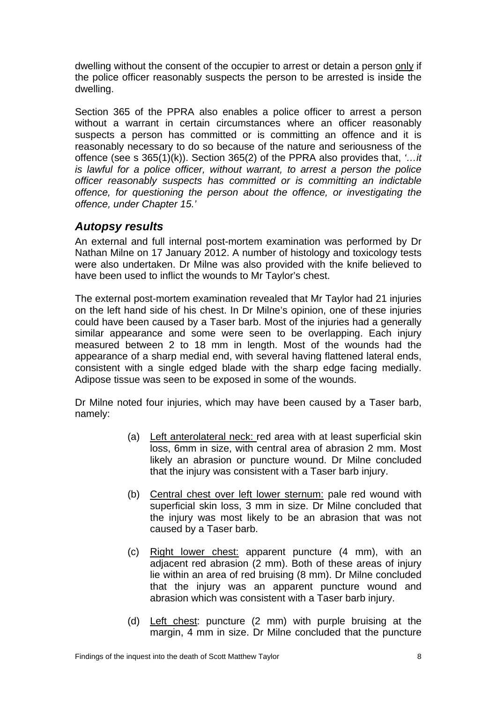dwelling without the consent of the occupier to arrest or detain a person only if the police officer reasonably suspects the person to be arrested is inside the dwelling.

Section 365 of the PPRA also enables a police officer to arrest a person without a warrant in certain circumstances where an officer reasonably suspects a person has committed or is committing an offence and it is reasonably necessary to do so because of the nature and seriousness of the offence (see s 365(1)(k)). Section 365(2) of the PPRA also provides that, *'…it is lawful for a police officer, without warrant, to arrest a person the police officer reasonably suspects has committed or is committing an indictable offence, for questioning the person about the offence, or investigating the offence, under Chapter 15.'*

#### <span id="page-9-0"></span>*Autopsy results*

An external and full internal post-mortem examination was performed by Dr Nathan Milne on 17 January 2012. A number of histology and toxicology tests were also undertaken. Dr Milne was also provided with the knife believed to have been used to inflict the wounds to Mr Taylor's chest.

The external post-mortem examination revealed that Mr Taylor had 21 injuries on the left hand side of his chest. In Dr Milne's opinion, one of these injuries could have been caused by a Taser barb. Most of the injuries had a generally similar appearance and some were seen to be overlapping. Each injury measured between 2 to 18 mm in length. Most of the wounds had the appearance of a sharp medial end, with several having flattened lateral ends, consistent with a single edged blade with the sharp edge facing medially. Adipose tissue was seen to be exposed in some of the wounds.

Dr Milne noted four injuries, which may have been caused by a Taser barb, namely:

- (a) Left anterolateral neck: red area with at least superficial skin loss, 6mm in size, with central area of abrasion 2 mm. Most likely an abrasion or puncture wound. Dr Milne concluded that the injury was consistent with a Taser barb injury.
- (b) Central chest over left lower sternum: pale red wound with superficial skin loss, 3 mm in size. Dr Milne concluded that the injury was most likely to be an abrasion that was not caused by a Taser barb.
- (c) Right lower chest: apparent puncture (4 mm), with an adjacent red abrasion (2 mm). Both of these areas of injury lie within an area of red bruising (8 mm). Dr Milne concluded that the injury was an apparent puncture wound and abrasion which was consistent with a Taser barb injury.
- (d) Left chest: puncture (2 mm) with purple bruising at the margin, 4 mm in size. Dr Milne concluded that the puncture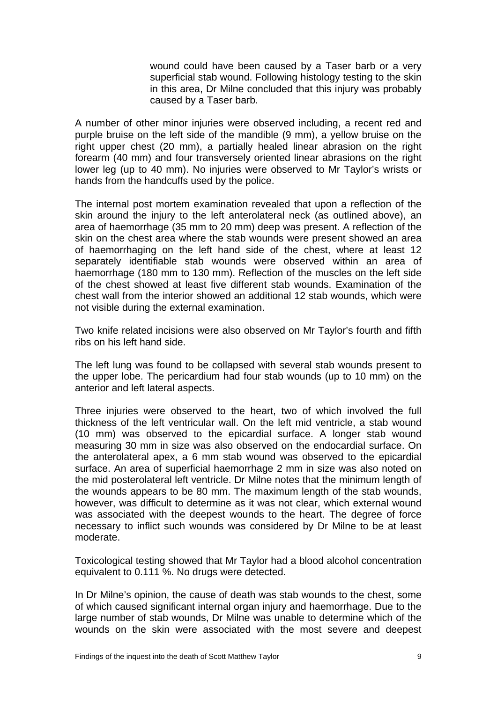wound could have been caused by a Taser barb or a very superficial stab wound. Following histology testing to the skin in this area, Dr Milne concluded that this injury was probably caused by a Taser barb.

A number of other minor injuries were observed including, a recent red and purple bruise on the left side of the mandible (9 mm), a yellow bruise on the right upper chest (20 mm), a partially healed linear abrasion on the right forearm (40 mm) and four transversely oriented linear abrasions on the right lower leg (up to 40 mm). No injuries were observed to Mr Taylor's wrists or hands from the handcuffs used by the police.

The internal post mortem examination revealed that upon a reflection of the skin around the injury to the left anterolateral neck (as outlined above), an area of haemorrhage (35 mm to 20 mm) deep was present. A reflection of the skin on the chest area where the stab wounds were present showed an area of haemorrhaging on the left hand side of the chest, where at least 12 separately identifiable stab wounds were observed within an area of haemorrhage (180 mm to 130 mm). Reflection of the muscles on the left side of the chest showed at least five different stab wounds. Examination of the chest wall from the interior showed an additional 12 stab wounds, which were not visible during the external examination.

Two knife related incisions were also observed on Mr Taylor's fourth and fifth ribs on his left hand side.

The left lung was found to be collapsed with several stab wounds present to the upper lobe. The pericardium had four stab wounds (up to 10 mm) on the anterior and left lateral aspects.

Three injuries were observed to the heart, two of which involved the full thickness of the left ventricular wall. On the left mid ventricle, a stab wound (10 mm) was observed to the epicardial surface. A longer stab wound measuring 30 mm in size was also observed on the endocardial surface. On the anterolateral apex, a 6 mm stab wound was observed to the epicardial surface. An area of superficial haemorrhage 2 mm in size was also noted on the mid posterolateral left ventricle. Dr Milne notes that the minimum length of the wounds appears to be 80 mm. The maximum length of the stab wounds, however, was difficult to determine as it was not clear, which external wound was associated with the deepest wounds to the heart. The degree of force necessary to inflict such wounds was considered by Dr Milne to be at least moderate.

Toxicological testing showed that Mr Taylor had a blood alcohol concentration equivalent to 0.111 %. No drugs were detected.

In Dr Milne's opinion, the cause of death was stab wounds to the chest, some of which caused significant internal organ injury and haemorrhage. Due to the large number of stab wounds, Dr Milne was unable to determine which of the wounds on the skin were associated with the most severe and deepest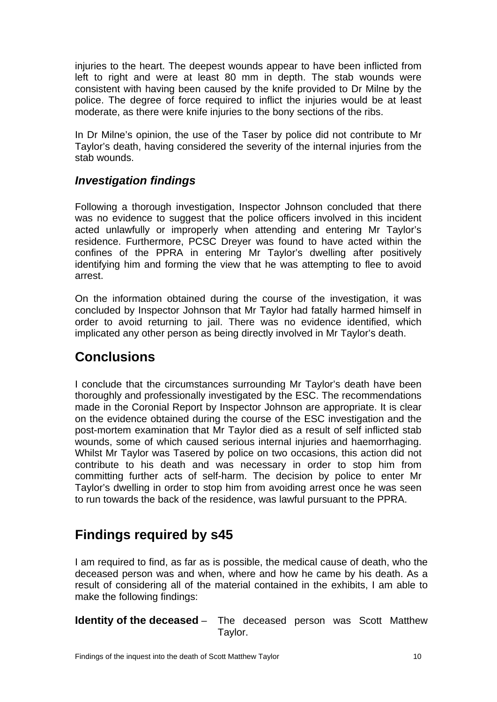injuries to the heart. The deepest wounds appear to have been inflicted from left to right and were at least 80 mm in depth. The stab wounds were consistent with having been caused by the knife provided to Dr Milne by the police. The degree of force required to inflict the injuries would be at least moderate, as there were knife injuries to the bony sections of the ribs.

In Dr Milne's opinion, the use of the Taser by police did not contribute to Mr Taylor's death, having considered the severity of the internal injuries from the stab wounds.

### <span id="page-11-0"></span>*Investigation findings*

Following a thorough investigation, Inspector Johnson concluded that there was no evidence to suggest that the police officers involved in this incident acted unlawfully or improperly when attending and entering Mr Taylor's residence. Furthermore, PCSC Dreyer was found to have acted within the confines of the PPRA in entering Mr Taylor's dwelling after positively identifying him and forming the view that he was attempting to flee to avoid arrest.

On the information obtained during the course of the investigation, it was concluded by Inspector Johnson that Mr Taylor had fatally harmed himself in order to avoid returning to jail. There was no evidence identified, which implicated any other person as being directly involved in Mr Taylor's death.

### <span id="page-11-1"></span>**Conclusions**

I conclude that the circumstances surrounding Mr Taylor's death have been thoroughly and professionally investigated by the ESC. The recommendations made in the Coronial Report by Inspector Johnson are appropriate. It is clear on the evidence obtained during the course of the ESC investigation and the post-mortem examination that Mr Taylor died as a result of self inflicted stab wounds, some of which caused serious internal injuries and haemorrhaging. Whilst Mr Taylor was Tasered by police on two occasions, this action did not contribute to his death and was necessary in order to stop him from committing further acts of self-harm. The decision by police to enter Mr Taylor's dwelling in order to stop him from avoiding arrest once he was seen to run towards the back of the residence, was lawful pursuant to the PPRA.

# <span id="page-11-2"></span>**Findings required by s45**

I am required to find, as far as is possible, the medical cause of death, who the deceased person was and when, where and how he came by his death. As a result of considering all of the material contained in the exhibits, I am able to make the following findings:

<span id="page-11-3"></span>**Identity of the deceased** – The deceased person was Scott Matthew Taylor.